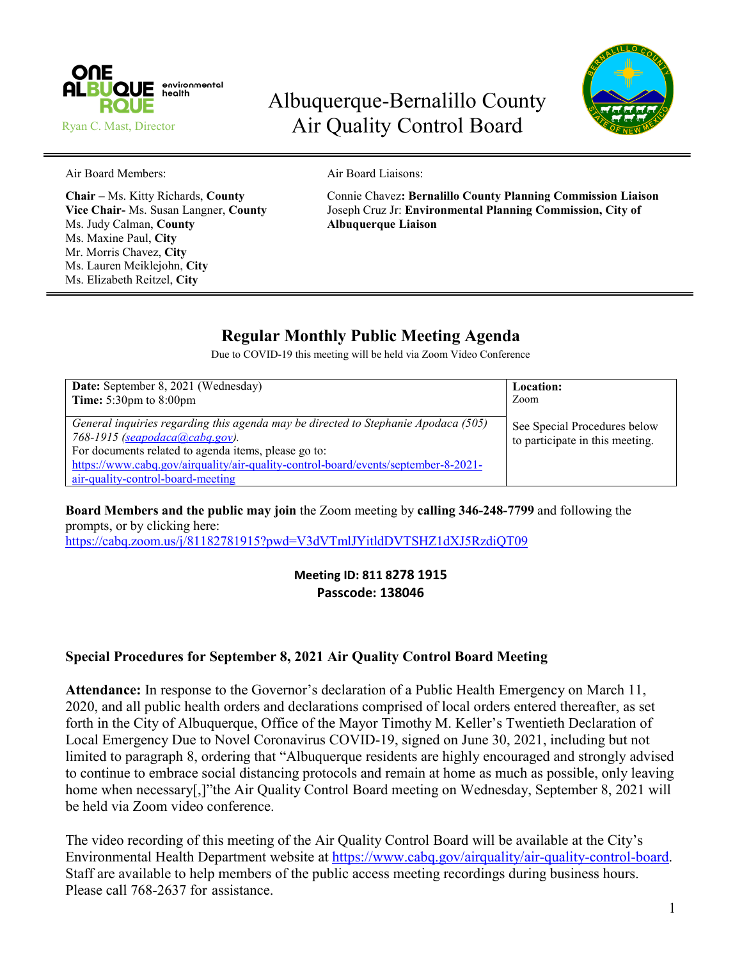

# Albuquerque-Bernalillo County Air Quality Control Board



Air Board Members: Air Board Liaisons:

Ms. Judy Calman, **County Albuquerque Liaison** Ms. Maxine Paul, **City** Mr. Morris Chavez, **City** Ms. Lauren Meiklejohn, **City** Ms. Elizabeth Reitzel, **City**

**Chair –** Ms. Kitty Richards, **County** Connie Chavez**: Bernalillo County Planning Commission Liaison Vice Chair-** Ms. Susan Langner, **County** Joseph Cruz Jr: **Environmental Planning Commission, City of**

# **Regular Monthly Public Meeting Agenda**

Due to COVID-19 this meeting will be held via Zoom Video Conference

| Date: September 8, 2021 (Wednesday)                                                                                                                                                                                                                                                                     | Location:                                                       |
|---------------------------------------------------------------------------------------------------------------------------------------------------------------------------------------------------------------------------------------------------------------------------------------------------------|-----------------------------------------------------------------|
| <b>Time:</b> $5:30 \text{pm}$ to $8:00 \text{pm}$                                                                                                                                                                                                                                                       | Zoom                                                            |
| General inquiries regarding this agenda may be directed to Stephanie Apodaca (505)<br>768-1915 (seapodaca@cabq.gov).<br>For documents related to agenda items, please go to:<br>https://www.cabq.gov/airquality/air-quality-control-board/events/september-8-2021-<br>air-quality-control-board-meeting | See Special Procedures below<br>to participate in this meeting. |

**Board Members and the public may join** the Zoom meeting by **calling 346-248-7799** and following the prompts, or by clicking here:

<https://cabq.zoom.us/j/81182781915?pwd=V3dVTmlJYitldDVTSHZ1dXJ5RzdiQT09>

### **Meeting ID: 811 8278 1915 Passcode: 138046**

# **Special Procedures for September 8, 2021 Air Quality Control Board Meeting**

**Attendance:** In response to the Governor's declaration of a Public Health Emergency on March 11, 2020, and all public health orders and declarations comprised of local orders entered thereafter, as set forth in the City of Albuquerque, Office of the Mayor Timothy M. Keller's Twentieth Declaration of Local Emergency Due to Novel Coronavirus COVID-19, signed on June 30, 2021, including but not limited to paragraph 8, ordering that "Albuquerque residents are highly encouraged and strongly advised to continue to embrace social distancing protocols and remain at home as much as possible, only leaving home when necessary[,]"the Air Quality Control Board meeting on Wednesday, September 8, 2021 will be held via Zoom video conference.

The video recording of this meeting of the Air Quality Control Board will be available at the City's Environmental Health Department website at [https://www.cabq.gov/airquality/air-quality-control-board.](https://www.cabq.gov/airquality/air-quality-control-board) Staff are available to help members of the public access meeting recordings during business hours. Please call 768-2637 for assistance.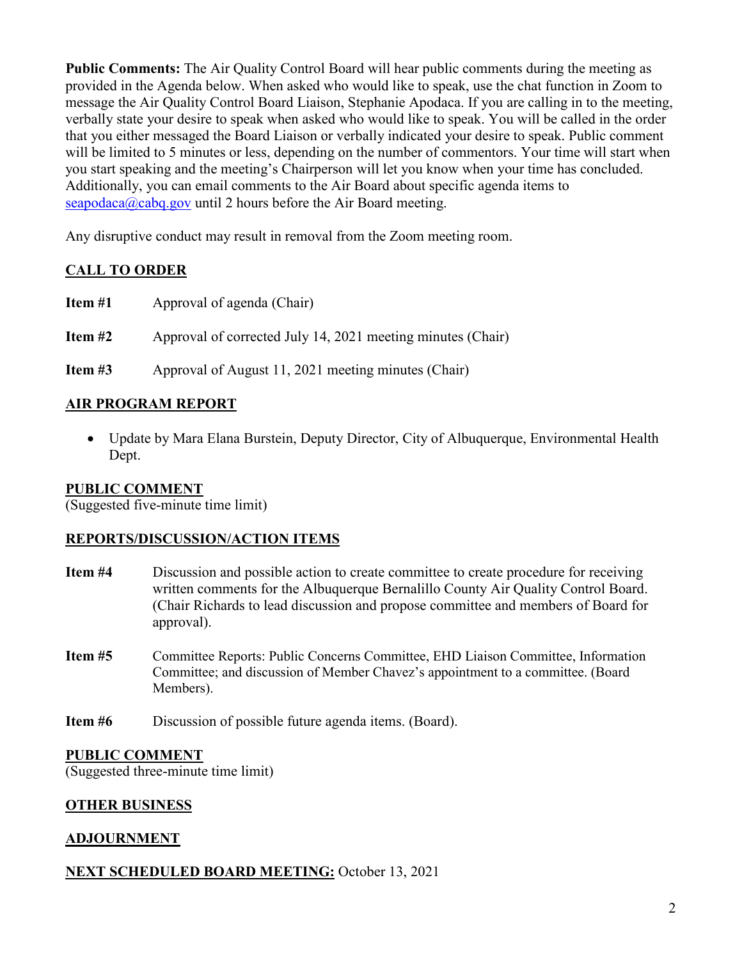**Public Comments:** The Air Quality Control Board will hear public comments during the meeting as provided in the Agenda below. When asked who would like to speak, use the chat function in Zoom to message the Air Quality Control Board Liaison, Stephanie Apodaca. If you are calling in to the meeting, verbally state your desire to speak when asked who would like to speak. You will be called in the order that you either messaged the Board Liaison or verbally indicated your desire to speak. Public comment will be limited to 5 minutes or less, depending on the number of commentors. Your time will start when you start speaking and the meeting's Chairperson will let you know when your time has concluded. Additionally, you can email comments to the Air Board about specific agenda items to [seapodaca@cabq.gov](mailto:seapodaca@cabq.gov) until 2 hours before the Air Board meeting.

Any disruptive conduct may result in removal from the Zoom meeting room.

# **CALL TO ORDER**

**Item #1** Approval of agenda (Chair)

**Item #2** Approval of corrected July 14, 2021 meeting minutes (Chair)

**Item #3** Approval of August 11, 2021 meeting minutes (Chair)

# **AIR PROGRAM REPORT**

• Update by Mara Elana Burstein, Deputy Director, City of Albuquerque, Environmental Health Dept.

# **PUBLIC COMMENT**

(Suggested five-minute time limit)

#### **REPORTS/DISCUSSION/ACTION ITEMS**

- **Item #4** Discussion and possible action to create committee to create procedure for receiving written comments for the Albuquerque Bernalillo County Air Quality Control Board. (Chair Richards to lead discussion and propose committee and members of Board for approval).
- **Item #5** Committee Reports: Public Concerns Committee, EHD Liaison Committee, Information Committee; and discussion of Member Chavez's appointment to a committee. (Board Members).
- **Item #6** Discussion of possible future agenda items. (Board).

# **PUBLIC COMMENT**

(Suggested three-minute time limit)

# **OTHER BUSINESS**

# **ADJOURNMENT**

# **NEXT SCHEDULED BOARD MEETING:** October 13, 2021